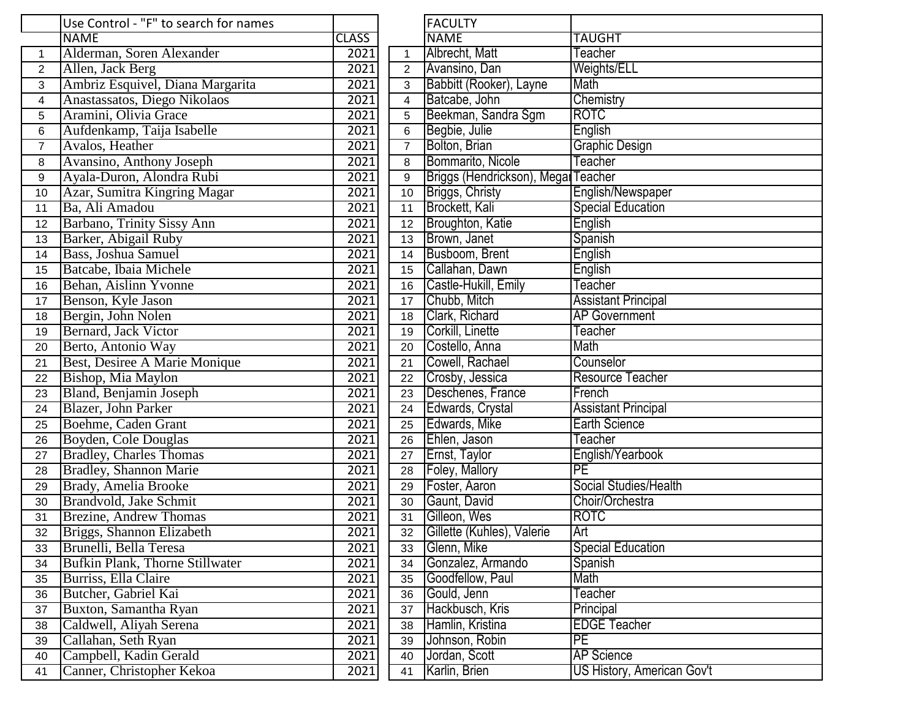|                | Use Control - "F" to search for names |                   |                | <b>FACULTY</b>                      |                            |
|----------------|---------------------------------------|-------------------|----------------|-------------------------------------|----------------------------|
|                | <b>NAME</b>                           | <b>CLASS</b>      |                | <b>NAME</b>                         | <b>TAUGHT</b>              |
| $\mathbf{1}$   | Alderman, Soren Alexander             | 2021              | $\mathbf{1}$   | Albrecht, Matt                      | Teacher                    |
| $\overline{2}$ | Allen, Jack Berg                      | 2021              | $\overline{2}$ | Avansino, Dan                       | <b>Weights/ELL</b>         |
| 3              | Ambriz Esquivel, Diana Margarita      | 2021              | 3              | Babbitt (Rooker), Layne             | Math                       |
| $\overline{4}$ | Anastassatos, Diego Nikolaos          | 2021              | 4              | Batcabe, John                       | Chemistry                  |
| 5              | Aramini, Olivia Grace                 | 2021              | 5              | Beekman, Sandra Sgm                 | <b>ROTC</b>                |
| 6              | Aufdenkamp, Taija Isabelle            | 2021              | 6              | Begbie, Julie                       | English                    |
| $\overline{7}$ | Avalos, Heather                       | 2021              | $\overline{7}$ | Bolton, Brian                       | <b>Graphic Design</b>      |
| 8              | Avansino, Anthony Joseph              | 2021              | 8              | Bommarito, Nicole                   | Teacher                    |
| 9              | Ayala-Duron, Alondra Rubi             | 2021              | 9              | Briggs (Hendrickson), Megai Teacher |                            |
| 10             | Azar, Sumitra Kingring Magar          | 2021              | 10             | Briggs, Christy                     | English/Newspaper          |
| 11             | Ba, Ali Amadou                        | 2021              | 11             | Brockett, Kali                      | <b>Special Education</b>   |
| 12             | Barbano, Trinity Sissy Ann            | 2021              | 12             | Broughton, Katie                    | English                    |
| 13             | Barker, Abigail Ruby                  | 2021              | 13             | Brown, Janet                        | Spanish                    |
| 14             | <b>Bass, Joshua Samuel</b>            | 2021              | 14             | Busboom, Brent                      | English                    |
| 15             | Batcabe, Ibaia Michele                | 2021              | 15             | Callahan, Dawn                      | English                    |
| 16             | Behan, Aislinn Yvonne                 | 2021              | 16             | Castle-Hukill, Emily                | Teacher                    |
| 17             | Benson, Kyle Jason                    | 2021              | 17             | Chubb, Mitch                        | <b>Assistant Principal</b> |
| 18             | Bergin, John Nolen                    | 2021              | 18             | Clark, Richard                      | <b>AP Government</b>       |
| 19             | Bernard, Jack Victor                  | 2021              | 19             | Corkill, Linette                    | Teacher                    |
| 20             | Berto, Antonio Way                    | 2021              | 20             | Costello, Anna                      | Math                       |
| 21             | Best, Desiree A Marie Monique         | 2021              | 21             | Cowell, Rachael                     | Counselor                  |
| 22             | Bishop, Mia Maylon                    | 2021              | 22             | Crosby, Jessica                     | <b>Resource Teacher</b>    |
| 23             | Bland, Benjamin Joseph                | 2021              | 23             | Deschenes, France                   | French                     |
| 24             | Blazer, John Parker                   | 2021              | 24             | Edwards, Crystal                    | <b>Assistant Principal</b> |
| 25             | Boehme, Caden Grant                   | 2021              | 25             | Edwards, Mike                       | <b>Earth Science</b>       |
| 26             | Boyden, Cole Douglas                  | 2021              | 26             | Ehlen, Jason                        | Teacher                    |
| 27             | <b>Bradley, Charles Thomas</b>        | 2021              | 27             | Ernst, Taylor                       | English/Yearbook           |
| 28             | <b>Bradley, Shannon Marie</b>         | 2021              | 28             | <b>Foley, Mallory</b>               | PE                         |
| 29             | Brady, Amelia Brooke                  | 2021              | 29             | Foster, Aaron                       | Social Studies/Health      |
| 30             | Brandvold, Jake Schmit                | $\overline{2}021$ | 30             | Gaunt, David                        | Choir/Orchestra            |
| 31             | <b>Brezine, Andrew Thomas</b>         | 2021              | 31             | Gilleon, Wes                        | <b>ROTC</b>                |
| 32             | Briggs, Shannon Elizabeth             | 2021              | 32             | Gillette (Kuhles), Valerie          | Art                        |
| 33             | Brunelli, Bella Teresa                | 2021              | 33             | Glenn, Mike                         | <b>Special Education</b>   |
| 34             | Bufkin Plank, Thorne Stillwater       | 2021              | 34             | Gonzalez, Armando                   | Spanish                    |
| 35             | Burriss, Ella Claire                  | 2021              | 35             | Goodfellow, Paul                    | Math                       |
| 36             | Butcher, Gabriel Kai                  | 2021              | 36             | Gould, Jenn                         | Teacher                    |
| 37             | Buxton, Samantha Ryan                 | 2021              | 37             | Hackbusch, Kris                     | Principal                  |
| 38             | Caldwell, Aliyah Serena               | 2021              | 38             | Hamlin, Kristina                    | <b>EDGE Teacher</b>        |
| 39             | Callahan, Seth Ryan                   | 2021              | 39             | Johnson, Robin                      | PE                         |
| 40             | Campbell, Kadin Gerald                | 2021              | 40             | Jordan, Scott                       | <b>AP Science</b>          |
| 41             | Canner, Christopher Kekoa             | 2021              | 41             | Karlin, Brien                       | US History, American Gov't |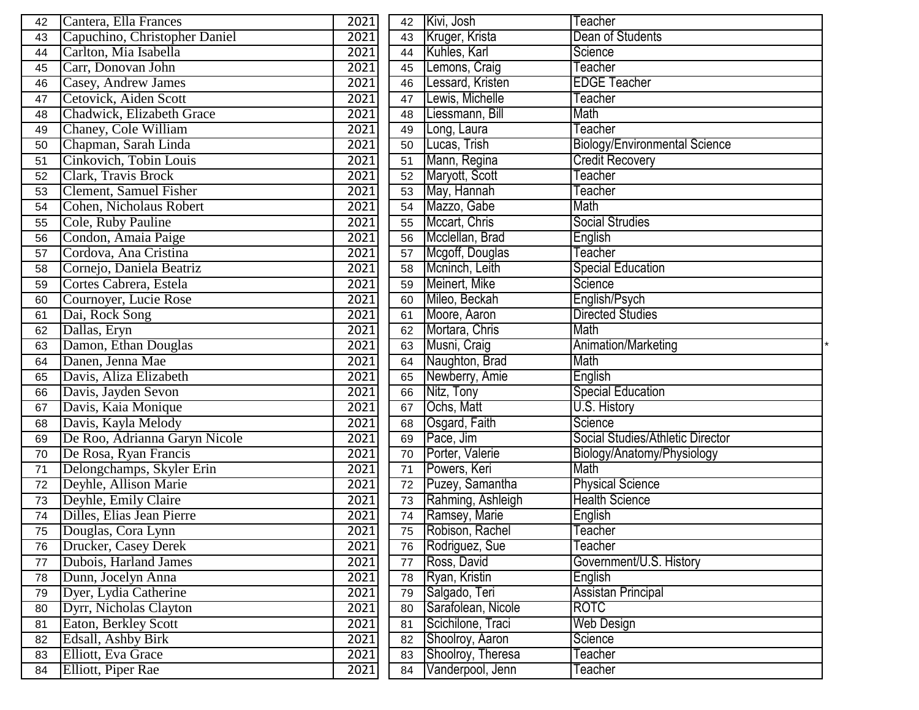| 42 | Cantera, Ella Frances         | 2021 | 42 | Kivi, Josh         | Teacher                              |
|----|-------------------------------|------|----|--------------------|--------------------------------------|
| 43 | Capuchino, Christopher Daniel | 2021 | 43 | Kruger, Krista     | Dean of Students                     |
| 44 | Carlton, Mia Isabella         | 2021 | 44 | Kuhles, Karl       | Science                              |
| 45 | Carr, Donovan John            | 2021 | 45 | Lemons, Craig      | Teacher                              |
| 46 | Casey, Andrew James           | 2021 | 46 | Lessard, Kristen   | <b>EDGE Teacher</b>                  |
| 47 | Cetovick, Aiden Scott         | 2021 | 47 | Lewis, Michelle    | Teacher                              |
| 48 | Chadwick, Elizabeth Grace     | 2021 | 48 | Liessmann, Bill    | Math                                 |
| 49 | Chaney, Cole William          | 2021 | 49 | Long, Laura        | Teacher                              |
| 50 | Chapman, Sarah Linda          | 2021 | 50 | Lucas, Trish       | <b>Biology/Environmental Science</b> |
| 51 | Cinkovich, Tobin Louis        | 2021 | 51 | Mann, Regina       | <b>Credit Recovery</b>               |
| 52 | <b>Clark, Travis Brock</b>    | 2021 | 52 | Maryott, Scott     | Teacher                              |
| 53 | Clement, Samuel Fisher        | 2021 | 53 | May, Hannah        | Teacher                              |
| 54 | Cohen, Nicholaus Robert       | 2021 | 54 | Mazzo, Gabe        | Math                                 |
| 55 | Cole, Ruby Pauline            | 2021 | 55 | Mccart, Chris      | <b>Social Strudies</b>               |
| 56 | Condon, Amaia Paige           | 2021 | 56 | Mcclellan, Brad    | English                              |
| 57 | Cordova, Ana Cristina         | 2021 | 57 | Mcgoff, Douglas    | Teacher                              |
| 58 | Cornejo, Daniela Beatriz      | 2021 | 58 | Mcninch, Leith     | <b>Special Education</b>             |
| 59 | Cortes Cabrera, Estela        | 2021 | 59 | Meinert, Mike      | Science                              |
| 60 | Cournoyer, Lucie Rose         | 2021 | 60 | Mileo, Beckah      | English/Psych                        |
| 61 | Dai, Rock Song                | 2021 | 61 | Moore, Aaron       | <b>Directed Studies</b>              |
| 62 | Dallas, Eryn                  | 2021 | 62 | Mortara, Chris     | Math                                 |
| 63 | Damon, Ethan Douglas          | 2021 | 63 | Musni, Craig       | Animation/Marketing                  |
| 64 | Danen, Jenna Mae              | 2021 | 64 | Naughton, Brad     | Math                                 |
| 65 | Davis, Aliza Elizabeth        | 2021 | 65 | Newberry, Amie     | English                              |
| 66 | Davis, Jayden Sevon           | 2021 | 66 | Nitz, Tony         | <b>Special Education</b>             |
| 67 | Davis, Kaia Monique           | 2021 | 67 | Ochs, Matt         | U.S. History                         |
| 68 | Davis, Kayla Melody           | 2021 | 68 | Osgard, Faith      | Science                              |
| 69 | De Roo, Adrianna Garyn Nicole | 2021 | 69 | Pace, Jim          | Social Studies/Athletic Director     |
| 70 | De Rosa, Ryan Francis         | 2021 | 70 | Porter, Valerie    | Biology/Anatomy/Physiology           |
| 71 | Delongchamps, Skyler Erin     | 2021 | 71 | Powers, Keri       | Math                                 |
| 72 | Deyhle, Allison Marie         | 2021 | 72 | Puzey, Samantha    | <b>Physical Science</b>              |
| 73 | Deyhle, Emily Claire          | 2021 | 73 | Rahming, Ashleigh  | <b>Health Science</b>                |
| 74 | Dilles, Elias Jean Pierre     | 2021 | 74 | Ramsey, Marie      | English                              |
| 75 | Douglas, Cora Lynn            | 2021 | 75 | Robison, Rachel    | Teacher                              |
| 76 | Drucker, Casey Derek          | 2021 | 76 | Rodriguez, Sue     | Teacher                              |
| 77 | Dubois, Harland James         | 2021 | 77 | Ross, David        | Government/U.S. History              |
| 78 | Dunn, Jocelyn Anna            | 2021 | 78 | Ryan, Kristin      | English                              |
| 79 | Dyer, Lydia Catherine         | 2021 | 79 | Salgado, Teri      | Assistan Principal                   |
| 80 | Dyrr, Nicholas Clayton        | 2021 | 80 | Sarafolean, Nicole | <b>ROTC</b>                          |
| 81 | Eaton, Berkley Scott          | 2021 | 81 | Scichilone, Traci  | <b>Web Design</b>                    |
| 82 | Edsall, Ashby Birk            | 2021 | 82 | Shoolroy, Aaron    | Science                              |
| 83 | Elliott, Eva Grace            | 2021 | 83 | Shoolroy, Theresa  | Teacher                              |
| 84 | Elliott, Piper Rae            | 2021 | 84 | Vanderpool, Jenn   | Teacher                              |
|    |                               |      |    |                    |                                      |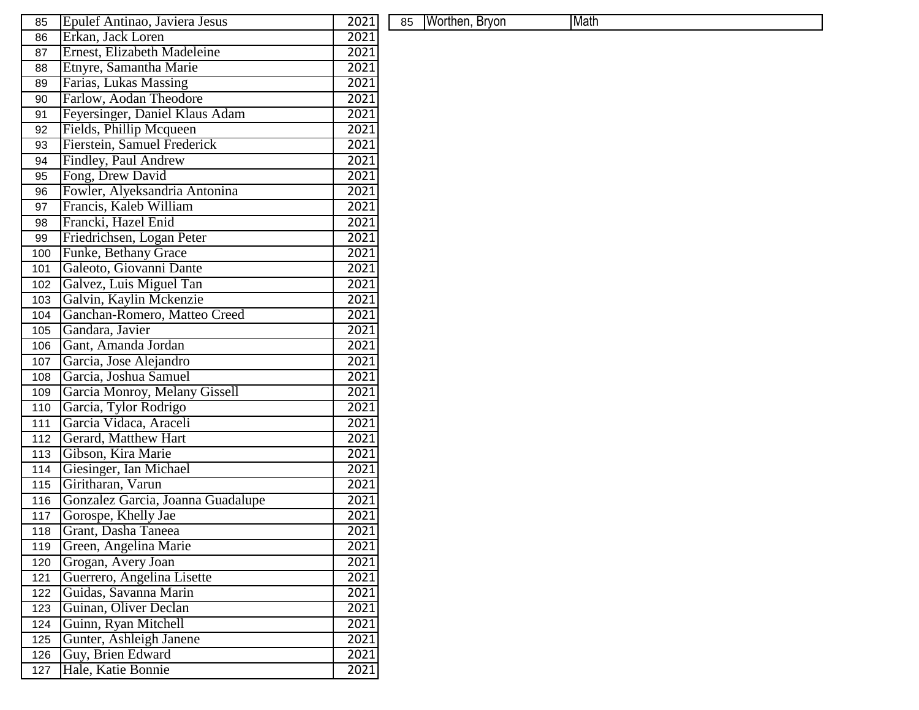| 85  | Epulef Antinao, Javiera Jesus     | 2021 | 85 | Worthen, Bryon | Math |
|-----|-----------------------------------|------|----|----------------|------|
| 86  | Erkan, Jack Loren                 | 2021 |    |                |      |
| 87  | Ernest, Elizabeth Madeleine       | 2021 |    |                |      |
| 88  | Etnyre, Samantha Marie            | 2021 |    |                |      |
| 89  | Farias, Lukas Massing             | 2021 |    |                |      |
| 90  | Farlow, Aodan Theodore            | 2021 |    |                |      |
| 91  | Feyersinger, Daniel Klaus Adam    | 2021 |    |                |      |
| 92  | Fields, Phillip Mcqueen           | 2021 |    |                |      |
| 93  | Fierstein, Samuel Frederick       | 2021 |    |                |      |
| 94  | Findley, Paul Andrew              | 2021 |    |                |      |
| 95  | Fong, Drew David                  | 2021 |    |                |      |
| 96  | Fowler, Alyeksandria Antonina     | 2021 |    |                |      |
| 97  | Francis, Kaleb William            | 2021 |    |                |      |
| 98  | Francki, Hazel Enid               | 2021 |    |                |      |
| 99  | Friedrichsen, Logan Peter         | 2021 |    |                |      |
| 100 | Funke, Bethany Grace              | 2021 |    |                |      |
| 101 | Galeoto, Giovanni Dante           | 2021 |    |                |      |
| 102 | Galvez, Luis Miguel Tan           | 2021 |    |                |      |
| 103 | Galvin, Kaylin Mckenzie           | 2021 |    |                |      |
| 104 | Ganchan-Romero, Matteo Creed      | 2021 |    |                |      |
| 105 | Gandara, Javier                   | 2021 |    |                |      |
| 106 | Gant, Amanda Jordan               | 2021 |    |                |      |
| 107 | Garcia, Jose Alejandro            | 2021 |    |                |      |
| 108 | Garcia, Joshua Samuel             | 2021 |    |                |      |
| 109 | Garcia Monroy, Melany Gissell     | 2021 |    |                |      |
| 110 | Garcia, Tylor Rodrigo             | 2021 |    |                |      |
| 111 | Garcia Vidaca, Araceli            | 2021 |    |                |      |
| 112 | Gerard, Matthew Hart              | 2021 |    |                |      |
| 113 | Gibson, Kira Marie                | 2021 |    |                |      |
| 114 | Giesinger, Ian Michael            | 2021 |    |                |      |
| 115 | Giritharan, Varun                 | 2021 |    |                |      |
| 116 | Gonzalez Garcia, Joanna Guadalupe | 2021 |    |                |      |
| 117 | Gorospe, Khelly Jae               | 2021 |    |                |      |
| 118 | Grant, Dasha Taneea               | 2021 |    |                |      |
| 119 | Green, Angelina Marie             | 2021 |    |                |      |
| 120 | Grogan, Avery Joan                | 2021 |    |                |      |
| 121 | Guerrero, Angelina Lisette        | 2021 |    |                |      |
| 122 | Guidas, Savanna Marin             | 2021 |    |                |      |
| 123 | Guinan, Oliver Declan             | 2021 |    |                |      |
| 124 | Guinn, Ryan Mitchell              | 2021 |    |                |      |
| 125 | Gunter, Ashleigh Janene           | 2021 |    |                |      |
| 126 | Guy, Brien Edward                 | 2021 |    |                |      |
| 127 | Hale, Katie Bonnie                | 2021 |    |                |      |

| 85 | Worthen, Bryon | Math |
|----|----------------|------|
|    |                |      |
|    |                |      |
|    |                |      |
|    |                |      |
|    |                |      |
|    |                |      |
|    |                |      |
|    |                |      |
|    |                |      |
|    |                |      |
|    |                |      |
|    |                |      |
|    |                |      |
|    |                |      |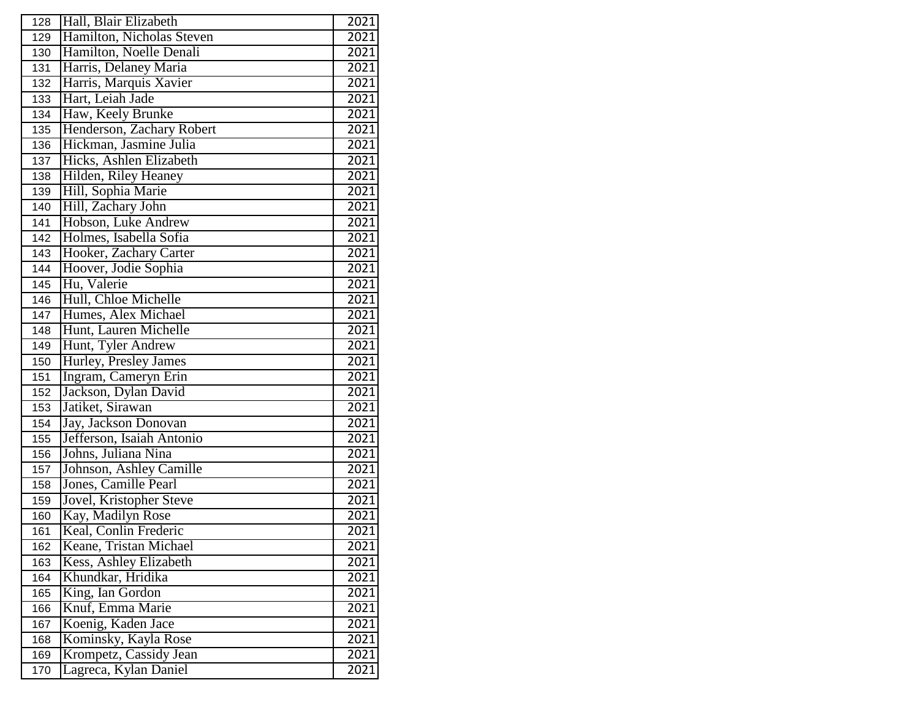| 128 | Hall, Blair Elizabeth     | 2021 |
|-----|---------------------------|------|
| 129 | Hamilton, Nicholas Steven | 2021 |
| 130 | Hamilton, Noelle Denali   | 2021 |
| 131 | Harris, Delaney Maria     | 2021 |
| 132 | Harris, Marquis Xavier    | 2021 |
| 133 | Hart, Leiah Jade          | 2021 |
| 134 | Haw, Keely Brunke         | 2021 |
| 135 | Henderson, Zachary Robert | 2021 |
| 136 | Hickman, Jasmine Julia    | 2021 |
| 137 | Hicks, Ashlen Elizabeth   | 2021 |
| 138 | Hilden, Riley Heaney      | 2021 |
| 139 | Hill, Sophia Marie        | 2021 |
| 140 | Hill, Zachary John        | 2021 |
| 141 | Hobson, Luke Andrew       | 2021 |
| 142 | Holmes, Isabella Sofia    | 2021 |
| 143 | Hooker, Zachary Carter    | 2021 |
| 144 | Hoover, Jodie Sophia      | 2021 |
| 145 | Hu, Valerie               | 2021 |
| 146 | Hull, Chloe Michelle      | 2021 |
| 147 | Humes, Alex Michael       | 2021 |
| 148 | Hunt, Lauren Michelle     | 2021 |
| 149 | Hunt, Tyler Andrew        | 2021 |
| 150 | Hurley, Presley James     | 2021 |
| 151 | Ingram, Cameryn Erin      | 2021 |
| 152 | Jackson, Dylan David      | 2021 |
| 153 | Jatiket, Sirawan          | 2021 |
| 154 | Jay, Jackson Donovan      | 2021 |
| 155 | Jefferson, Isaiah Antonio | 2021 |
| 156 | Johns, Juliana Nina       | 2021 |
| 157 | Johnson, Ashley Camille   | 2021 |
| 158 | Jones, Camille Pearl      | 2021 |
| 159 | Jovel, Kristopher Steve   | 2021 |
| 160 | Kay, Madilyn Rose         | 2021 |
| 161 | Keal, Conlin Frederic     | 2021 |
| 162 | Keane, Tristan Michael    | 2021 |
| 163 | Kess, Ashley Elizabeth    | 2021 |
| 164 | Khundkar, Hridika         | 2021 |
| 165 | King, Ian Gordon          | 2021 |
| 166 | Knuf, Emma Marie          | 2021 |
| 167 | Koenig, Kaden Jace        | 2021 |
| 168 | Kominsky, Kayla Rose      | 2021 |
| 169 | Krompetz, Cassidy Jean    | 2021 |
| 170 | Lagreca, Kylan Daniel     | 2021 |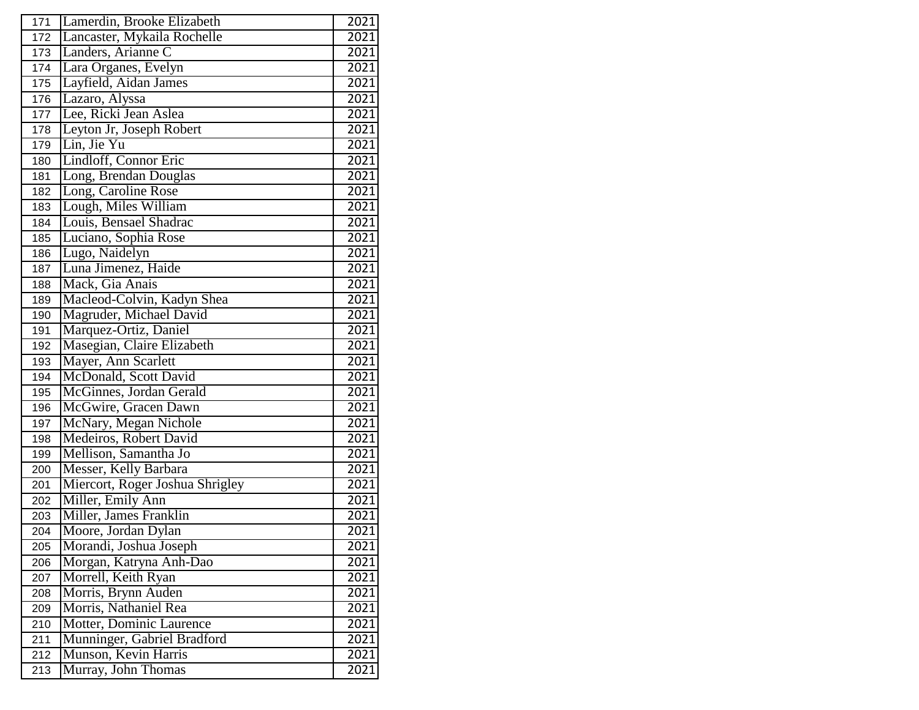| 171 | Lamerdin, Brooke Elizabeth      | 2021 |
|-----|---------------------------------|------|
| 172 | Lancaster, Mykaila Rochelle     | 2021 |
| 173 | Landers, Arianne C              | 2021 |
| 174 | Lara Organes, Evelyn            | 2021 |
| 175 | Layfield, Aidan James           | 2021 |
| 176 | Lazaro, Alyssa                  | 2021 |
| 177 | Lee, Ricki Jean Aslea           | 2021 |
| 178 | Leyton Jr, Joseph Robert        | 2021 |
| 179 | Lin, Jie Yu                     | 2021 |
| 180 | Lindloff, Connor Eric           | 2021 |
| 181 | Long, Brendan Douglas           | 2021 |
| 182 | Long, Caroline Rose             | 2021 |
| 183 | Lough, Miles William            | 2021 |
| 184 | Louis, Bensael Shadrac          | 2021 |
| 185 | Luciano, Sophia Rose            | 2021 |
| 186 | Lugo, Naidelyn                  | 2021 |
| 187 | Luna Jimenez, Haide             | 2021 |
| 188 | Mack, Gia Anais                 | 2021 |
| 189 | Macleod-Colvin, Kadyn Shea      | 2021 |
| 190 | Magruder, Michael David         | 2021 |
| 191 | Marquez-Ortiz, Daniel           | 2021 |
| 192 | Masegian, Claire Elizabeth      | 2021 |
| 193 | Mayer, Ann Scarlett             | 2021 |
| 194 | McDonald, Scott David           | 2021 |
| 195 | McGinnes, Jordan Gerald         | 2021 |
| 196 | McGwire, Gracen Dawn            | 2021 |
| 197 | McNary, Megan Nichole           | 2021 |
| 198 | Medeiros, Robert David          | 2021 |
| 199 | Mellison, Samantha Jo           | 2021 |
| 200 | Messer, Kelly Barbara           | 2021 |
| 201 | Miercort, Roger Joshua Shrigley | 2021 |
| 202 | Miller, Emily Ann               | 2021 |
| 203 | Miller, James Franklin          | 2021 |
| 204 | Moore, Jordan Dylan             | 2021 |
| 205 | Morandi, Joshua Joseph          | 2021 |
| 206 | Morgan, Katryna Anh-Dao         | 2021 |
| 207 | Morrell, Keith Ryan             | 2021 |
| 208 | Morris, Brynn Auden             | 2021 |
| 209 | Morris, Nathaniel Rea           | 2021 |
| 210 | Motter, Dominic Laurence        | 2021 |
| 211 | Munninger, Gabriel Bradford     | 2021 |
| 212 | Munson, Kevin Harris            | 2021 |
| 213 | Murray, John Thomas             | 2021 |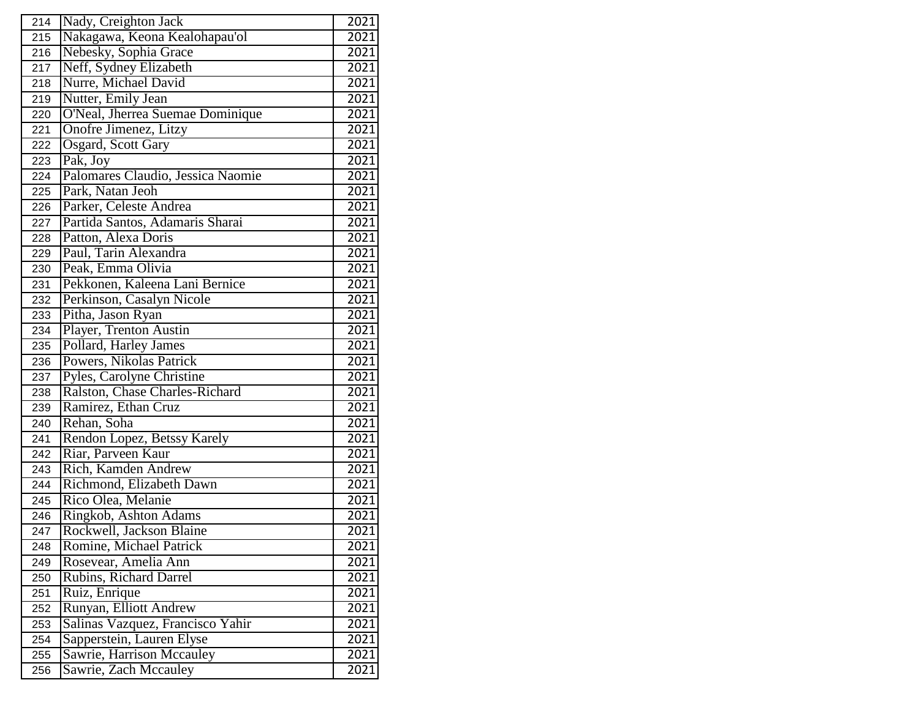| 214 | Nady, Creighton Jack              | 2021 |
|-----|-----------------------------------|------|
| 215 | Nakagawa, Keona Kealohapau'ol     | 2021 |
| 216 | Nebesky, Sophia Grace             | 2021 |
| 217 | Neff, Sydney Elizabeth            | 2021 |
| 218 | Nurre, Michael David              | 2021 |
| 219 | Nutter, Emily Jean                | 2021 |
| 220 | O'Neal, Jherrea Suemae Dominique  | 2021 |
| 221 | Onofre Jimenez, Litzy             | 2021 |
| 222 | Osgard, Scott Gary                | 2021 |
| 223 | Pak, Joy                          | 2021 |
| 224 | Palomares Claudio, Jessica Naomie | 2021 |
| 225 | Park, Natan Jeoh                  | 2021 |
| 226 | Parker, Celeste Andrea            | 2021 |
| 227 | Partida Santos, Adamaris Sharai   | 2021 |
| 228 | Patton, Alexa Doris               | 2021 |
| 229 | Paul, Tarin Alexandra             | 2021 |
| 230 | Peak, Emma Olivia                 | 2021 |
| 231 | Pekkonen, Kaleena Lani Bernice    | 2021 |
| 232 | Perkinson, Casalyn Nicole         | 2021 |
| 233 | Pitha, Jason Ryan                 | 2021 |
| 234 | Player, Trenton Austin            | 2021 |
| 235 | Pollard, Harley James             | 2021 |
| 236 | Powers, Nikolas Patrick           | 2021 |
| 237 | Pyles, Carolyne Christine         | 2021 |
| 238 | Ralston, Chase Charles-Richard    | 2021 |
| 239 | Ramirez, Ethan Cruz               | 2021 |
| 240 | Rehan, Soha                       | 2021 |
| 241 | Rendon Lopez, Betssy Karely       | 2021 |
| 242 | Riar, Parveen Kaur                | 2021 |
| 243 | Rich, Kamden Andrew               | 2021 |
| 244 | Richmond, Elizabeth Dawn          | 2021 |
| 245 | Rico Olea, Melanie                | 2021 |
| 246 | Ringkob, Ashton Adams             | 2021 |
| 247 | Rockwell, Jackson Blaine          | 2021 |
| 248 | Romine, Michael Patrick           | 2021 |
| 249 | Rosevear, Amelia Ann              | 2021 |
| 250 | Rubins, Richard Darrel            | 2021 |
| 251 | Ruiz, Enrique                     | 2021 |
| 252 | Runyan, Elliott Andrew            | 2021 |
| 253 | Salinas Vazquez, Francisco Yahir  | 2021 |
| 254 | Sapperstein, Lauren Elyse         | 2021 |
| 255 | Sawrie, Harrison Mccauley         | 2021 |
| 256 | Sawrie, Zach Mccauley             | 2021 |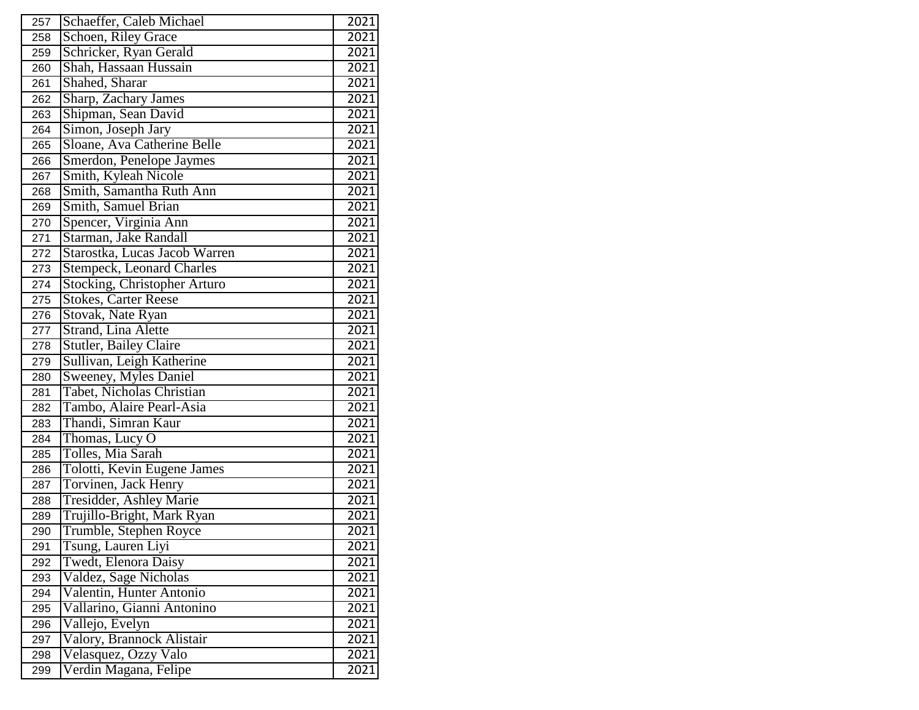| 257 | Schaeffer, Caleb Michael            | 2021              |
|-----|-------------------------------------|-------------------|
| 258 | Schoen, Riley Grace                 | 2021              |
| 259 | Schricker, Ryan Gerald              | 2021              |
| 260 | Shah, Hassaan Hussain               | 2021              |
| 261 | Shahed, Sharar                      | 2021              |
| 262 | Sharp, Zachary James                | 2021              |
| 263 | Shipman, Sean David                 | 2021              |
| 264 | Simon, Joseph Jary                  | 2021              |
| 265 | Sloane, Ava Catherine Belle         | 2021              |
| 266 | Smerdon, Penelope Jaymes            | 2021              |
| 267 | Smith, Kyleah Nicole                | 2021              |
| 268 | Smith, Samantha Ruth Ann            | 2021              |
| 269 | Smith, Samuel Brian                 | 2021              |
| 270 | Spencer, Virginia Ann               | 2021              |
| 271 | Starman, Jake Randall               | 2021              |
| 272 | Starostka, Lucas Jacob Warren       | 2021              |
| 273 | <b>Stempeck, Leonard Charles</b>    | 2021              |
| 274 | <b>Stocking, Christopher Arturo</b> | 2021              |
| 275 | <b>Stokes, Carter Reese</b>         | 2021              |
| 276 | Stovak, Nate Ryan                   | 2021              |
| 277 | Strand, Lina Alette                 | 2021              |
| 278 | <b>Stutler, Bailey Claire</b>       | 2021              |
| 279 | Sullivan, Leigh Katherine           | 2021              |
| 280 | Sweeney, Myles Daniel               | 2021              |
| 281 | Tabet, Nicholas Christian           | 2021              |
| 282 | Tambo, Alaire Pearl-Asia            | 2021              |
| 283 | Thandi, Simran Kaur                 | 2021              |
| 284 | Thomas, Lucy O                      | 2021              |
| 285 | Tolles, Mia Sarah                   | 2021              |
| 286 | Tolotti, Kevin Eugene James         | 2021              |
| 287 | Torvinen, Jack Henry                | $\overline{20}21$ |
| 288 | Tresidder, Ashley Marie             | 2021              |
| 289 | Trujillo-Bright, Mark Ryan          | 2021              |
| 290 | Trumble, Stephen Royce              | 2021              |
| 291 | Tsung, Lauren Liyi                  | 2021              |
| 292 | Twedt, Elenora Daisy                | 2021              |
| 293 | Valdez, Sage Nicholas               | 2021              |
| 294 | Valentin, Hunter Antonio            | 2021              |
| 295 | Vallarino, Gianni Antonino          | 2021              |
| 296 | Vallejo, Evelyn                     | 2021              |
| 297 | Valory, Brannock Alistair           | 2021              |
| 298 | Velasquez, Ozzy Valo                | 2021              |
| 299 | Verdin Magana, Felipe               | 2021              |